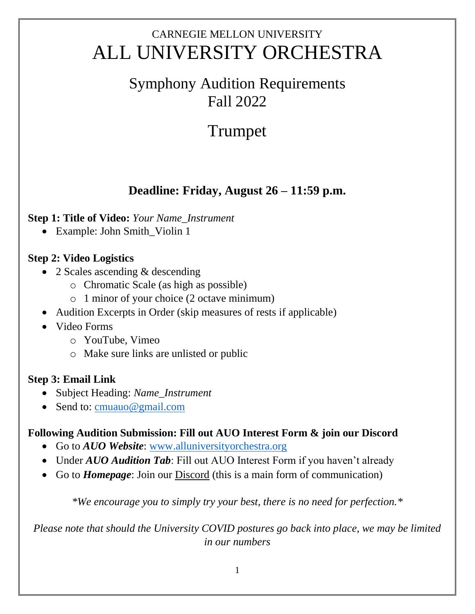## CARNEGIE MELLON UNIVERSITY ALL UNIVERSITY ORCHESTRA

### Symphony Audition Requirements Fall 2022

# Trumpet

### **Deadline: Friday, August 26 – 11:59 p.m.**

#### **Step 1: Title of Video:** *Your Name\_Instrument*

• Example: John Smith\_Violin 1

#### **Step 2: Video Logistics**

- 2 Scales ascending & descending
	- o Chromatic Scale (as high as possible)
	- o 1 minor of your choice (2 octave minimum)
- Audition Excerpts in Order (skip measures of rests if applicable)
- Video Forms
	- o YouTube, Vimeo
	- o Make sure links are unlisted or public

#### **Step 3: Email Link**

- Subject Heading: *Name\_Instrument*
- Send to: [cmuauo@gmail.com](mailto:cmuauo@gmail.com)

#### **Following Audition Submission: Fill out AUO Interest Form & join our Discord**

- Go to *AUO Website*: [www.alluniversityorchestra.org](http://www.alluniversityorchestra.org/)
- Under *AUO Audition Tab*: Fill out AUO Interest Form if you haven't already
- Go to *Homepage*: Join our Discord (this is a main form of communication)

*\*We encourage you to simply try your best, there is no need for perfection.\**

*Please note that should the University COVID postures go back into place, we may be limited in our numbers*